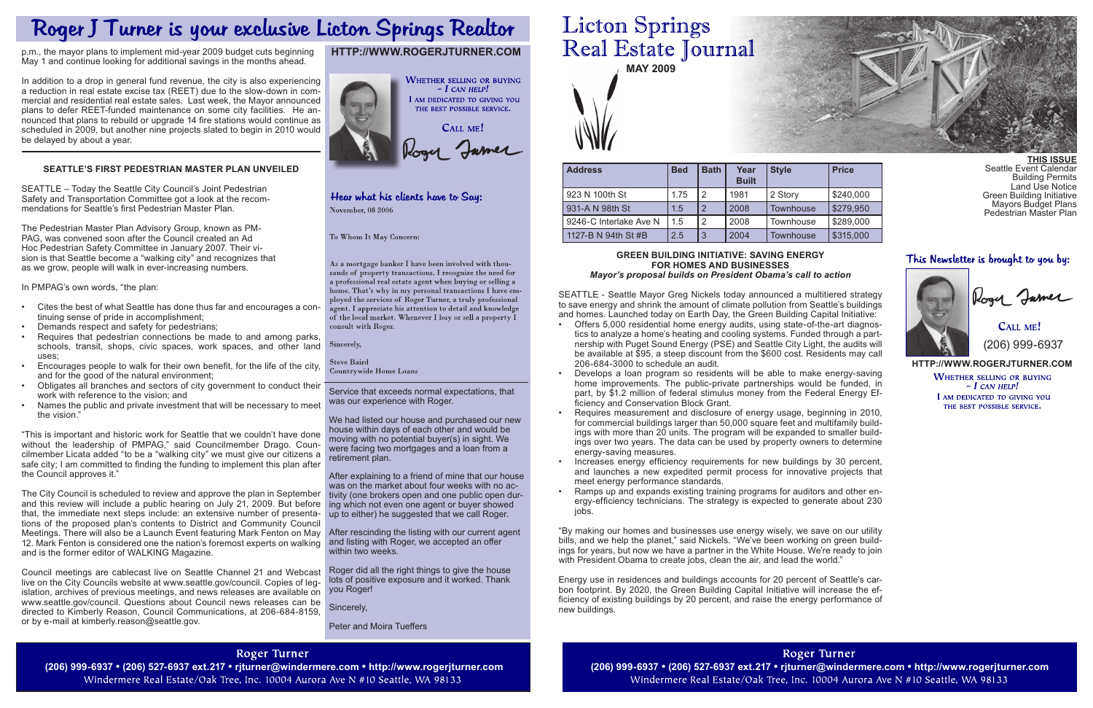

Service that exceeds normal expectations, that was our experience with Roger.

We had listed our house and purchased our new house within days of each other and would be moving with no potential buyer(s) in sight. We were facing two mortgages and a loan from a retirement plan.

After explaining to a friend of mine that our house was on the market about four weeks with no activity (one brokers open and one public open during which not even one agent or buyer showed up to either) he suggested that we call Roger.

CALL ME! (206) 999-6937

After rescinding the listing with our current agent and listing with Roger, we accepted an offer within two weeks.

Roger did all the right things to give the house lots of positive exposure and it worked. Thank

Sincerely,

Peter and Moira Tueffers

# **Licton Springs** Real Estate Journal

### **http://www.rogerjturner.com**

**WHETHER SELLING OR BUYING**  $- I$  CAN HELP! I AM DEDICATED TO GIVING YOU THE BEST POSSIBLE SERVICE.

# **http://www.rogerjturner.com**



# Hear what his clients have to Say: November, 08 2006

To Whom It May Concern:

As a mortgage banker I have been involved with thousands of property transactions. I recognize the need for a professional real estate agent when buying or selling a home. That's why in my personal transactions I have employed the services of Roger Turner, a truly professional agent. I appreciate his attention to detail and knowledge of the local market. Whenever I buy or sell a property  $\tilde{I}$ consult with Roger.

Sincerely,

**Steve Baird Countrywide Home Loans** 

**THIS ISSUE** Seattle Event Calendar Building Permits Land Use Notice Green Building Initiative Mayors Budget Plans Pedestrian Master Plan

## This Newsletter is brought to you by:



| <b>Style</b>     | <b>Price</b> |
|------------------|--------------|
| 2 Story          | \$240,000    |
| <b>Townhouse</b> | \$279,950    |
| Townhouse        | \$289,000    |
| Townhouse        | \$315,000    |

| <b>Address</b>         | <b>Bed</b> | <b>Bath</b>    | Year<br><b>Built</b> | <b>Style</b>     | <b>Price</b> |
|------------------------|------------|----------------|----------------------|------------------|--------------|
| 923 N 100th St         | 1.75       | 2              | 1981                 | 2 Story          | \$240,000    |
| 931-A N 98th St        | 1.5        | $\overline{2}$ | 2008                 | Townhouse        | \$279,950    |
| 9246-C Interlake Ave N | 1.5        | 2              | 2008                 | Townhouse        | \$289,000    |
| 1127-B N 94th St #B    | 2.5        | 3              | 2004                 | <b>Townhouse</b> | \$315,000    |

#### **Green Building Initiative: saving energy for homes and businesses** *Mayor's proposal builds on President Obama's call to action*

"By making our homes and businesses use energy wisely, we save on our utility bills, and we help the planet," said Nickels. "We've been working on green buildings for years, but now we have a partner in the White House. We're ready to join with President Obama to create jobs, clean the air, and lead the world."

SEATTLE - Seattle Mayor Greg Nickels today announced a multitiered strategy to save energy and shrink the amount of climate pollution from Seattle's buildings and homes. Launched today on Earth Day, the Green Building Capital Initiative:

- • Offers 5,000 residential home energy audits, using state-of-the-art diagnostics to analyze a home's heating and cooling systems. Funded through a partnership with Puget Sound Energy (PSE) and Seattle City Light, the audits will be available at \$95, a steep discount from the \$600 cost. Residents may call 206-684-3000 to schedule an audit.
- Develops a loan program so residents will be able to make energy-saving home improvements. The public-private partnerships would be funded, in part, by \$1.2 million of federal stimulus money from the Federal Energy Efficiency and Conservation Block Grant.
- Requires measurement and disclosure of energy usage, beginning in 2010, for commercial buildings larger than 50,000 square feet and multifamily buildings with more than 20 units. The program will be expanded to smaller buildings over two years. The data can be used by property owners to determine energy-saving measures.
- Increases energy efficiency requirements for new buildings by 30 percent, and launches a new expedited permit process for innovative projects that meet energy performance standards.
- Ramps up and expands existing training programs for auditors and other energy-efficiency technicians. The strategy is expected to generate about 230 jobs.
- Cites the best of what Seattle has done thus far and encourages a continuing sense of pride in accomplishment;
- Demands respect and safety for pedestrians;
- Requires that pedestrian connections be made to and among parks, schools, transit, shops, civic spaces, work spaces, and other land uses;
- Encourages people to walk for their own benefit, for the life of the city, and for the good of the natural environment;
- Obligates all branches and sectors of city government to conduct their work with reference to the vision; and
- Names the public and private investment that will be necessary to meet the vision."

islation, archives of previous meetings, and news releases are available on you Roger! Council meetings are cablecast live on Seattle Channel 21 and Webcast live on the City Councils website at www.seattle.gov/council. Copies of legwww.seattle.gov/council. Questions about Council news releases can be directed to Kimberly Reason, Council Communications, at 206-684-8159, or by e-mail at kimberly.reason@seattle.gov.

Energy use in residences and buildings accounts for 20 percent of Seattle's carbon footprint. By 2020, the Green Building Capital Initiative will increase the efficiency of existing buildings by 20 percent, and raise the energy performance of new buildings.

# **Roger Turner**

Windermere Real Estate/Oak Tree, Inc. 10004 Aurora Ave N #10 Seattle, WA 98133

**Roger Turner** (206) 999-6937 • (206) 527-6937 ext.217 • rjturner@windermere.com • http://www.rogerjturner.com (206) 999-6937 • (206) 999-6937 • (206) 527-6937 ext.217 • rjturner@windermere.com • http://www.rogerjturner.com (206) 999-693 Windermere Real Estate/Oak Tree, Inc. 10004 Aurora Ave N #10 Seattle, WA 98133



# Roger J Turner is your exclusive Licton Springs Realtor

p.m., the mayor plans to implement mid-year 2009 budget cuts beginning May 1 and continue looking for additional savings in the months ahead.

In addition to a drop in general fund revenue, the city is also experiencing a reduction in real estate excise tax (REET) due to the slow-down in commercial and residential real estate sales. Last week, the Mayor announced plans to defer REET-funded maintenance on some city facilities. He announced that plans to rebuild or upgrade 14 fire stations would continue as scheduled in 2009, but another nine projects slated to begin in 2010 would be delayed by about a year.

# **Seattle's First Pedestrian Master Plan Unveiled**

SEATTLE – Today the Seattle City Council's Joint Pedestrian Safety and Transportation Committee got a look at the recommendations for Seattle's first Pedestrian Master Plan.

The Pedestrian Master Plan Advisory Group, known as PM-PAG, was convened soon after the Council created an Ad Hoc Pedestrian Safety Committee in January 2007. Their vision is that Seattle become a "walking city" and recognizes that as we grow, people will walk in ever-increasing numbers.

In PMPAG's own words, "the plan:

"This is important and historic work for Seattle that we couldn't have done without the leadership of PMPAG," said Councilmember Drago. Councilmember Licata added "to be a "walking city" we must give our citizens a safe city; I am committed to finding the funding to implement this plan after the Council approves it."

The City Council is scheduled to review and approve the plan in September and this review will include a public hearing on July 21, 2009. But before that, the immediate next steps include: an extensive number of presentations of the proposed plan's contents to District and Community Council Meetings. There will also be a Launch Event featuring Mark Fenton on May 12. Mark Fenton is considered one the nation's foremost experts on walking and is the former editor of WALKING Magazine.